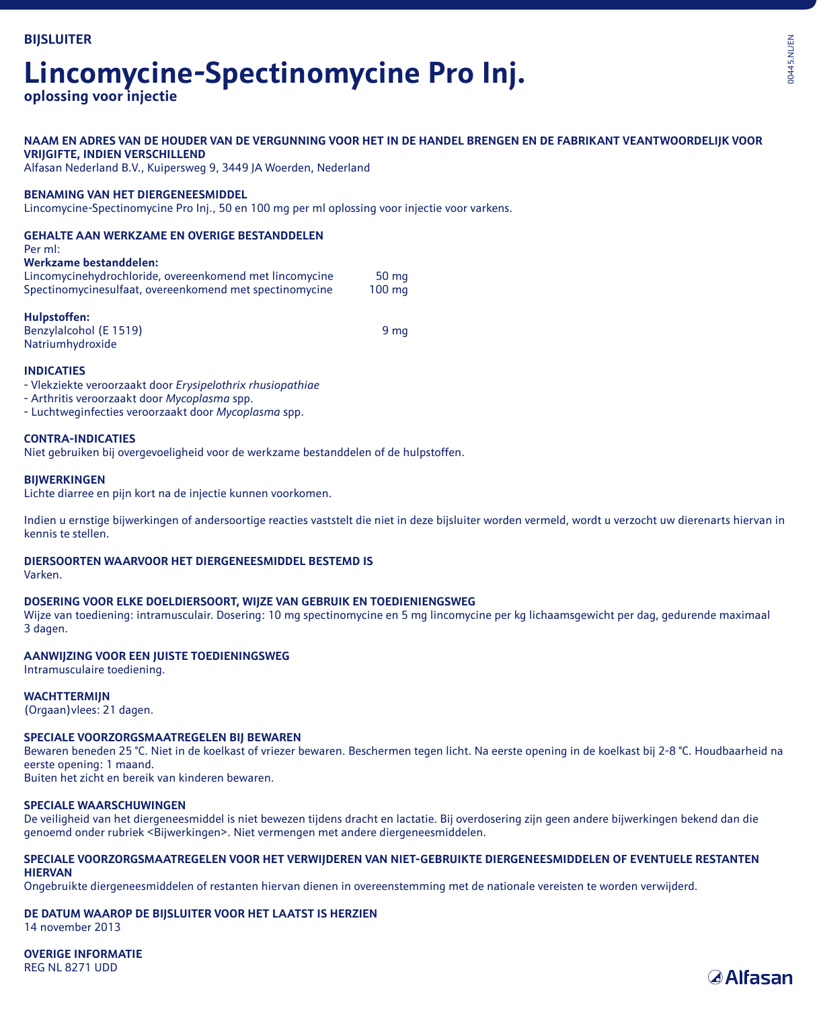# **Lincomycine-Spectinomycine Pro Inj.**

**oplossing voor injectie**

#### **NAAM EN ADRES VAN DE HOUDER VAN DE VERGUNNING VOOR HET IN DE HANDEL BRENGEN EN DE FABRIKANT VEANTWOORDELIJK VOOR VRIJGIFTE, INDIEN VERSCHILLEND**

Alfasan Nederland B.V., Kuipersweg 9, 3449 JA Woerden, Nederland

#### **BENAMING VAN HET DIERGENEESMIDDEL**

Lincomycine-Spectinomycine Pro Inj., 50 en 100 mg per ml oplossing voor injectie voor varkens.

#### **GEHALTE AAN WERKZAME EN OVERIGE BESTANDDELEN**

#### Per ml:

#### **Werkzame bestanddelen:**

| Lincomycinehydrochloride, overeenkomend met lincomycine | 50 <sub>mg</sub> |
|---------------------------------------------------------|------------------|
| Spectinomycinesulfaat, overeenkomend met spectinomycine | $100 \text{ mg}$ |

| Hulpstoffen:           |      |
|------------------------|------|
| Benzylalcohol (E 1519) | 9 ma |
| Natriumhydroxide       |      |

#### **INDICATIES**

- Vlekziekte veroorzaakt door *Erysipelothrix rhusiopathiae* 

- Arthritis veroorzaakt door *Mycoplasma* spp.

- Luchtweginfecties veroorzaakt door *Mycoplasma* spp.

#### **CONTRA-INDICATIES**

Niet gebruiken bij overgevoeligheid voor de werkzame bestanddelen of de hulpstoffen.

#### **BIJWERKINGEN**

Lichte diarree en pijn kort na de injectie kunnen voorkomen.

Indien u ernstige bijwerkingen of andersoortige reacties vaststelt die niet in deze bijsluiter worden vermeld, wordt u verzocht uw dierenarts hiervan in kennis te stellen.

#### **DIERSOORTEN WAARVOOR HET DIERGENEESMIDDEL BESTEMD IS**

Varken.

#### **DOSERING VOOR ELKE DOELDIERSOORT, WIJZE VAN GEBRUIK EN TOEDIENIENGSWEG**

Wijze van toediening: intramusculair. Dosering: 10 mg spectinomycine en 5 mg lincomycine per kg lichaamsgewicht per dag, gedurende maximaal 3 dagen.

#### **AANWIJZING VOOR EEN JUISTE TOEDIENINGSWEG**

Intramusculaire toediening.

#### **WACHTTERMIJN**

(Orgaan)vlees: 21 dagen.

#### **SPECIALE VOORZORGSMAATREGELEN BIJ BEWAREN**

Bewaren beneden 25 °C. Niet in de koelkast of vriezer bewaren. Beschermen tegen licht. Na eerste opening in de koelkast bij 2-8 °C. Houdbaarheid na eerste opening: 1 maand.

Buiten het zicht en bereik van kinderen bewaren.

#### **SPECIALE WAARSCHUWINGEN**

De veiligheid van het diergeneesmiddel is niet bewezen tijdens dracht en lactatie. Bij overdosering zijn geen andere bijwerkingen bekend dan die genoemd onder rubriek <Bijwerkingen>. Niet vermengen met andere diergeneesmiddelen.

#### **SPECIALE VOORZORGSMAATREGELEN VOOR HET VERWIJDEREN VAN NIET-GEBRUIKTE DIERGENEESMIDDELEN OF EVENTUELE RESTANTEN HIERVAN**

Ongebruikte diergeneesmiddelen of restanten hiervan dienen in overeenstemming met de nationale vereisten te worden verwijderd.

### **DE DATUM WAAROP DE BIJSLUITER VOOR HET LAATST IS HERZIEN**

14 november 2013

**OVERIGE INFORMATIE** REG NL 8271 UDD